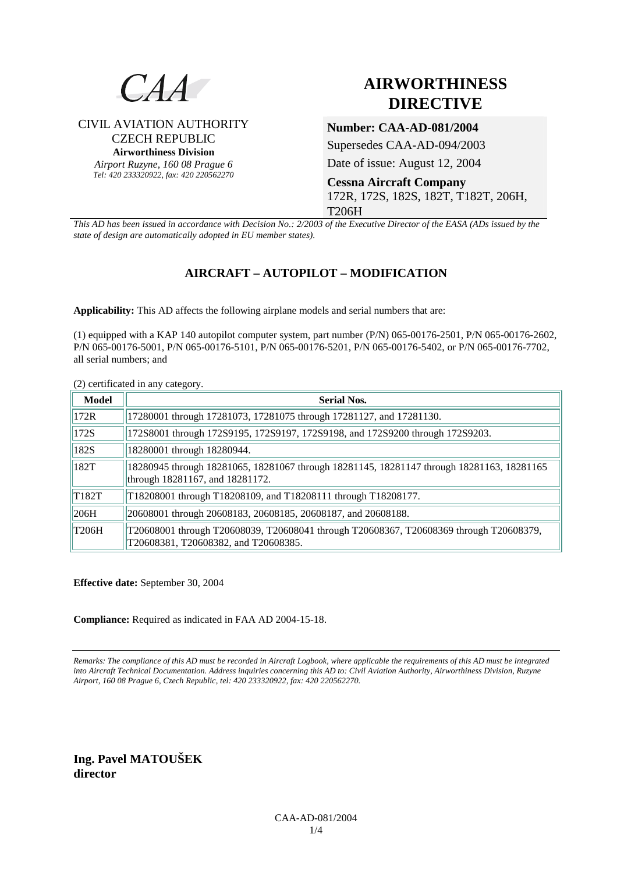

# **AIRWORTHINESS DIRECTIVE**

### CIVIL AVIATION AUTHORITY CZECH REPUBLIC **Airworthiness Division**

*Airport Ruzyne, 160 08 Prague 6 Tel: 420 233320922, fax: 420 220562270*

# **Number: CAA-AD-081/2004**

Supersedes CAA-AD-094/2003

Date of issue: August 12, 2004

**Cessna Aircraft Company**  172R, 172S, 182S, 182T, T182T, 206H, T206H

*This AD has been issued in accordance with Decision No.: 2/2003 of the Executive Director of the EASA (ADs issued by the state of design are automatically adopted in EU member states).*

# **AIRCRAFT – AUTOPILOT – MODIFICATION**

**Applicability:** This AD affects the following airplane models and serial numbers that are:

(1) equipped with a KAP 140 autopilot computer system, part number (P/N) 065-00176-2501, P/N 065-00176-2602, P/N 065-00176-5001, P/N 065-00176-5101, P/N 065-00176-5201, P/N 065-00176-5402, or P/N 065-00176-7702, all serial numbers; and

(2) certificated in any category.

| Model              | <b>Serial Nos.</b>                                                                                                             |
|--------------------|--------------------------------------------------------------------------------------------------------------------------------|
| 172R               | 17280001 through 17281073, 17281075 through 17281127, and 17281130.                                                            |
| 172S               | 172S8001 through 172S9195, 172S9197, 172S9198, and 172S9200 through 172S9203.                                                  |
| 182S               | 18280001 through 18280944.                                                                                                     |
| 182T               | 18280945 through 18281065, 18281067 through 18281145, 18281147 through 18281163, 18281165<br>through 18281167, and 18281172.   |
| T <sub>182</sub> T | T18208001 through T18208109, and T18208111 through T18208177.                                                                  |
| 206H               | 20608001 through 20608183, 20608185, 20608187, and 20608188.                                                                   |
| T206H              | T20608001 through T20608039, T20608041 through T20608367, T20608369 through T20608379,<br>T20608381, T20608382, and T20608385. |

**Effective date:** September 30, 2004

**Compliance:** Required as indicated in FAA AD 2004-15-18.

*Remarks: The compliance of this AD must be recorded in Aircraft Logbook, where applicable the requirements of this AD must be integrated into Aircraft Technical Documentation. Address inquiries concerning this AD to: Civil Aviation Authority, Airworthiness Division, Ruzyne Airport, 160 08 Prague 6, Czech Republic, tel: 420 233320922, fax: 420 220562270.* 

**Ing. Pavel MATOUŠEK director**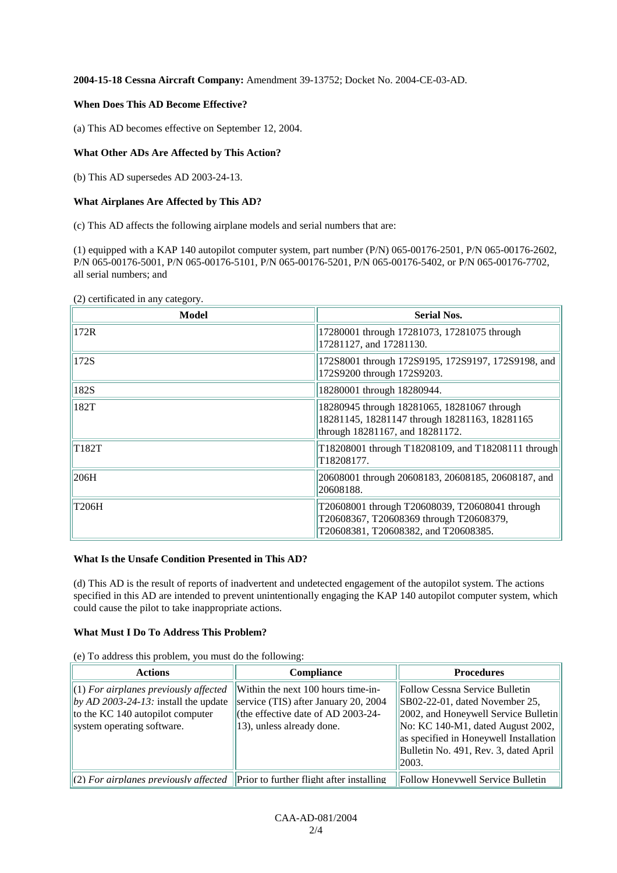#### **2004-15-18 Cessna Aircraft Company:** Amendment 39-13752; Docket No. 2004-CE-03-AD.

#### **When Does This AD Become Effective?**

(a) This AD becomes effective on September 12, 2004.

#### **What Other ADs Are Affected by This Action?**

(b) This AD supersedes AD 2003-24-13.

#### **What Airplanes Are Affected by This AD?**

(c) This AD affects the following airplane models and serial numbers that are:

(1) equipped with a KAP 140 autopilot computer system, part number (P/N) 065-00176-2501, P/N 065-00176-2602, P/N 065-00176-5001, P/N 065-00176-5101, P/N 065-00176-5201, P/N 065-00176-5402, or P/N 065-00176-7702, all serial numbers; and

(2) certificated in any category.

| Model | <b>Serial Nos.</b>                                                                                                                |
|-------|-----------------------------------------------------------------------------------------------------------------------------------|
| 172R  | 17280001 through 17281073, 17281075 through<br>17281127, and 17281130.                                                            |
| 172S  | 172S8001 through 172S9195, 172S9197, 172S9198, and<br>172S9200 through 172S9203.                                                  |
| 182S  | 18280001 through 18280944.                                                                                                        |
| 182T  | 18280945 through 18281065, 18281067 through<br>18281145, 18281147 through 18281163, 18281165<br>through 18281167, and 18281172.   |
| T182T | T18208001 through T18208109, and T18208111 through<br>T18208177.                                                                  |
| 206H  | 20608001 through 20608183, 20608185, 20608187, and<br>20608188.                                                                   |
| T206H | T20608001 through T20608039, T20608041 through<br>T20608367, T20608369 through T20608379,<br>T20608381, T20608382, and T20608385. |

#### **What Is the Unsafe Condition Presented in This AD?**

(d) This AD is the result of reports of inadvertent and undetected engagement of the autopilot system. The actions specified in this AD are intended to prevent unintentionally engaging the KAP 140 autopilot computer system, which could cause the pilot to take inappropriate actions.

#### **What Must I Do To Address This Problem?**

(e) To address this problem, you must do the following:

| <b>Actions</b>                                                                                                                                                   | <b>Compliance</b>                                                                                                                             | <b>Procedures</b>                                                                                                                                                                                                                              |
|------------------------------------------------------------------------------------------------------------------------------------------------------------------|-----------------------------------------------------------------------------------------------------------------------------------------------|------------------------------------------------------------------------------------------------------------------------------------------------------------------------------------------------------------------------------------------------|
| $\parallel$ (1) For airplanes previously affected<br>$\ $ by AD 2003-24-13: install the update<br>to the KC 140 autopilot computer<br>system operating software. | Within the next 100 hours time-in-<br>service (TIS) after January 20, 2004<br>(the effective date of AD 2003-24-<br>13), unless already done. | Follow Cessna Service Bulletin<br>$ SB02-22-01$ , dated November 25,<br>2002, and Honeywell Service Bulletin<br>No: KC 140-M1, dated August 2002,<br>as specified in Honeywell Installation<br>Bulletin No. 491, Rev. 3, dated April<br> 2003. |
| $\ $ (2) For airplanes previously affected Prior to further flight after installing                                                                              |                                                                                                                                               | Follow Honeywell Service Bulletin                                                                                                                                                                                                              |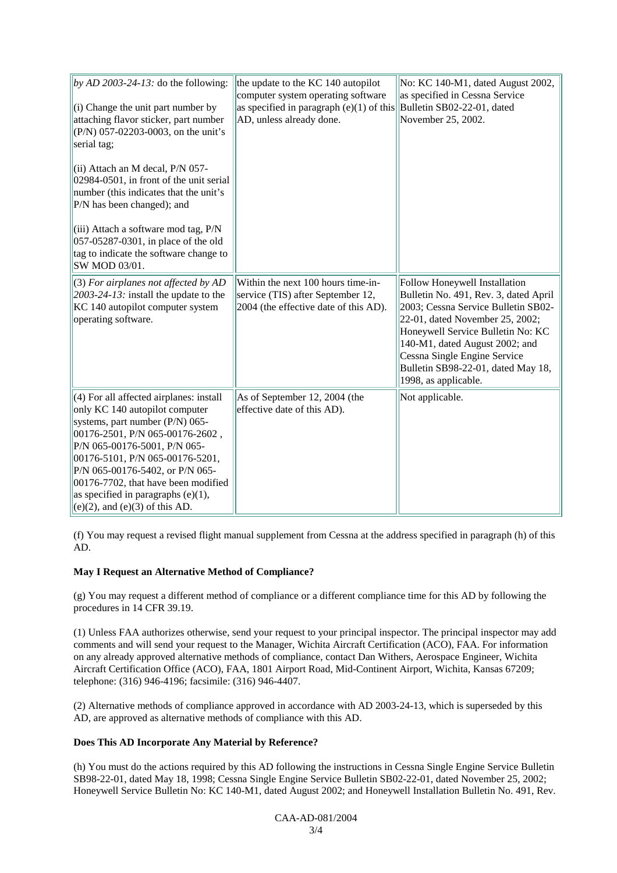| by AD 2003-24-13: do the following:<br>(i) Change the unit part number by<br>attaching flavor sticker, part number<br>(P/N) 057-02203-0003, on the unit's<br>serial tag;<br>(ii) Attach an M decal, P/N 057-<br>02984-0501, in front of the unit serial<br>number (this indicates that the unit's                                                                            | the update to the KC 140 autopilot<br>computer system operating software<br>as specified in paragraph (e)(1) of this Bulletin SB02-22-01, dated<br>AD, unless already done. | No: KC 140-M1, dated August 2002,<br>as specified in Cessna Service<br>November 25, 2002.                                                                                                                                                                                                                             |
|------------------------------------------------------------------------------------------------------------------------------------------------------------------------------------------------------------------------------------------------------------------------------------------------------------------------------------------------------------------------------|-----------------------------------------------------------------------------------------------------------------------------------------------------------------------------|-----------------------------------------------------------------------------------------------------------------------------------------------------------------------------------------------------------------------------------------------------------------------------------------------------------------------|
| P/N has been changed); and<br>(iii) Attach a software mod tag, P/N<br>057-05287-0301, in place of the old<br>tag to indicate the software change to<br>SW MOD 03/01.                                                                                                                                                                                                         |                                                                                                                                                                             |                                                                                                                                                                                                                                                                                                                       |
| (3) For airplanes not affected by AD<br>$2003 - 24 - 13$ : install the update to the<br>KC 140 autopilot computer system<br>operating software.                                                                                                                                                                                                                              | Within the next 100 hours time-in-<br>service (TIS) after September 12,<br>2004 (the effective date of this AD).                                                            | Follow Honeywell Installation<br>Bulletin No. 491, Rev. 3, dated April<br>2003; Cessna Service Bulletin SB02-<br>22-01, dated November 25, 2002;<br>Honeywell Service Bulletin No: KC<br>140-M1, dated August 2002; and<br>Cessna Single Engine Service<br>Bulletin SB98-22-01, dated May 18,<br>1998, as applicable. |
| (4) For all affected airplanes: install<br>only KC 140 autopilot computer<br>systems, part number (P/N) 065-<br>00176-2501, P/N 065-00176-2602,<br>P/N 065-00176-5001, P/N 065-<br>00176-5101, P/N 065-00176-5201,<br>P/N 065-00176-5402, or P/N 065-<br>00176-7702, that have been modified<br>as specified in paragraphs $(e)(1)$ ,<br>$(e)(2)$ , and $(e)(3)$ of this AD. | As of September 12, 2004 (the<br>effective date of this AD).                                                                                                                | Not applicable.                                                                                                                                                                                                                                                                                                       |

(f) You may request a revised flight manual supplement from Cessna at the address specified in paragraph (h) of this AD.

#### **May I Request an Alternative Method of Compliance?**

(g) You may request a different method of compliance or a different compliance time for this AD by following the procedures in 14 CFR 39.19.

(1) Unless FAA authorizes otherwise, send your request to your principal inspector. The principal inspector may add comments and will send your request to the Manager, Wichita Aircraft Certification (ACO), FAA. For information on any already approved alternative methods of compliance, contact Dan Withers, Aerospace Engineer, Wichita Aircraft Certification Office (ACO), FAA, 1801 Airport Road, Mid-Continent Airport, Wichita, Kansas 67209; telephone: (316) 946-4196; facsimile: (316) 946-4407.

(2) Alternative methods of compliance approved in accordance with AD 2003-24-13, which is superseded by this AD, are approved as alternative methods of compliance with this AD.

#### **Does This AD Incorporate Any Material by Reference?**

(h) You must do the actions required by this AD following the instructions in Cessna Single Engine Service Bulletin SB98-22-01, dated May 18, 1998; Cessna Single Engine Service Bulletin SB02-22-01, dated November 25, 2002; Honeywell Service Bulletin No: KC 140-M1, dated August 2002; and Honeywell Installation Bulletin No. 491, Rev.